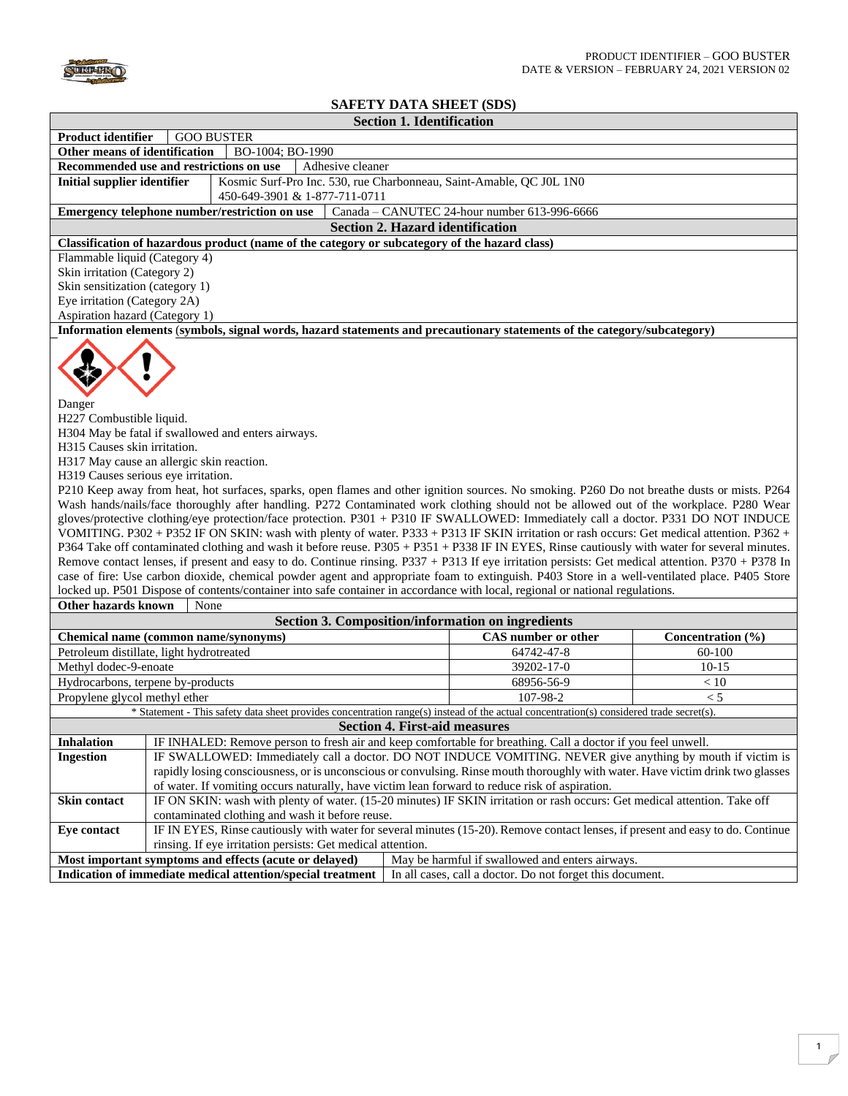

 $\Box$ 

## **SAFETY DATA SHEET (SDS) Section 1. Identification**

|                                                                                                                                                                                                                                                                                                                                                                                                                                                                                                                                                                                                                                                                                                                                                                                                                                                                         | эссион 1. гаснинсаног                                                                                                                        |                                              |                   |  |  |
|-------------------------------------------------------------------------------------------------------------------------------------------------------------------------------------------------------------------------------------------------------------------------------------------------------------------------------------------------------------------------------------------------------------------------------------------------------------------------------------------------------------------------------------------------------------------------------------------------------------------------------------------------------------------------------------------------------------------------------------------------------------------------------------------------------------------------------------------------------------------------|----------------------------------------------------------------------------------------------------------------------------------------------|----------------------------------------------|-------------------|--|--|
| <b>Product identifier</b><br><b>GOO BUSTER</b>                                                                                                                                                                                                                                                                                                                                                                                                                                                                                                                                                                                                                                                                                                                                                                                                                          |                                                                                                                                              |                                              |                   |  |  |
| Other means of identification<br>BO-1004; BO-1990                                                                                                                                                                                                                                                                                                                                                                                                                                                                                                                                                                                                                                                                                                                                                                                                                       |                                                                                                                                              |                                              |                   |  |  |
| Recommended use and restrictions on use<br>Adhesive cleaner                                                                                                                                                                                                                                                                                                                                                                                                                                                                                                                                                                                                                                                                                                                                                                                                             |                                                                                                                                              |                                              |                   |  |  |
| <b>Initial supplier identifier</b>                                                                                                                                                                                                                                                                                                                                                                                                                                                                                                                                                                                                                                                                                                                                                                                                                                      | Kosmic Surf-Pro Inc. 530, rue Charbonneau, Saint-Amable, QC J0L 1N0                                                                          |                                              |                   |  |  |
|                                                                                                                                                                                                                                                                                                                                                                                                                                                                                                                                                                                                                                                                                                                                                                                                                                                                         | 450-649-3901 & 1-877-711-0711                                                                                                                |                                              |                   |  |  |
|                                                                                                                                                                                                                                                                                                                                                                                                                                                                                                                                                                                                                                                                                                                                                                                                                                                                         | Emergency telephone number/restriction on use                                                                                                | Canada - CANUTEC 24-hour number 613-996-6666 |                   |  |  |
|                                                                                                                                                                                                                                                                                                                                                                                                                                                                                                                                                                                                                                                                                                                                                                                                                                                                         | <b>Section 2. Hazard identification</b>                                                                                                      |                                              |                   |  |  |
|                                                                                                                                                                                                                                                                                                                                                                                                                                                                                                                                                                                                                                                                                                                                                                                                                                                                         | Classification of hazardous product (name of the category or subcategory of the hazard class)                                                |                                              |                   |  |  |
| Flammable liquid (Category 4)                                                                                                                                                                                                                                                                                                                                                                                                                                                                                                                                                                                                                                                                                                                                                                                                                                           |                                                                                                                                              |                                              |                   |  |  |
| Skin irritation (Category 2)                                                                                                                                                                                                                                                                                                                                                                                                                                                                                                                                                                                                                                                                                                                                                                                                                                            |                                                                                                                                              |                                              |                   |  |  |
| Skin sensitization (category 1)                                                                                                                                                                                                                                                                                                                                                                                                                                                                                                                                                                                                                                                                                                                                                                                                                                         |                                                                                                                                              |                                              |                   |  |  |
| Eye irritation (Category 2A)                                                                                                                                                                                                                                                                                                                                                                                                                                                                                                                                                                                                                                                                                                                                                                                                                                            |                                                                                                                                              |                                              |                   |  |  |
| Aspiration hazard (Category 1)                                                                                                                                                                                                                                                                                                                                                                                                                                                                                                                                                                                                                                                                                                                                                                                                                                          |                                                                                                                                              |                                              |                   |  |  |
|                                                                                                                                                                                                                                                                                                                                                                                                                                                                                                                                                                                                                                                                                                                                                                                                                                                                         | Information elements (symbols, signal words, hazard statements and precautionary statements of the category/subcategory)                     |                                              |                   |  |  |
| Danger<br>H227 Combustible liquid.<br>H304 May be fatal if swallowed and enters airways.                                                                                                                                                                                                                                                                                                                                                                                                                                                                                                                                                                                                                                                                                                                                                                                |                                                                                                                                              |                                              |                   |  |  |
| H315 Causes skin irritation.                                                                                                                                                                                                                                                                                                                                                                                                                                                                                                                                                                                                                                                                                                                                                                                                                                            |                                                                                                                                              |                                              |                   |  |  |
|                                                                                                                                                                                                                                                                                                                                                                                                                                                                                                                                                                                                                                                                                                                                                                                                                                                                         | H317 May cause an allergic skin reaction.                                                                                                    |                                              |                   |  |  |
| H319 Causes serious eye irritation.                                                                                                                                                                                                                                                                                                                                                                                                                                                                                                                                                                                                                                                                                                                                                                                                                                     |                                                                                                                                              |                                              |                   |  |  |
|                                                                                                                                                                                                                                                                                                                                                                                                                                                                                                                                                                                                                                                                                                                                                                                                                                                                         | P210 Keep away from heat, hot surfaces, sparks, open flames and other ignition sources. No smoking. P260 Do not breathe dusts or mists. P264 |                                              |                   |  |  |
|                                                                                                                                                                                                                                                                                                                                                                                                                                                                                                                                                                                                                                                                                                                                                                                                                                                                         | Wash hands/nails/face thoroughly after handling. P272 Contaminated work clothing should not be allowed out of the workplace. P280 Wear       |                                              |                   |  |  |
| gloves/protective clothing/eye protection/face protection. P301 + P310 IF SWALLOWED: Immediately call a doctor. P331 DO NOT INDUCE<br>VOMITING. P302 + P352 IF ON SKIN: wash with plenty of water. P333 + P313 IF SKIN irritation or rash occurs: Get medical attention. P362 +<br>P364 Take off contaminated clothing and wash it before reuse. P305 + P351 + P338 IF IN EYES, Rinse cautiously with water for several minutes.<br>Remove contact lenses, if present and easy to do. Continue rinsing. P337 + P313 If eye irritation persists: Get medical attention. P370 + P378 In<br>case of fire: Use carbon dioxide, chemical powder agent and appropriate foam to extinguish. P403 Store in a well-ventilated place. P405 Store<br>locked up. P501 Dispose of contents/container into safe container in accordance with local, regional or national regulations. |                                                                                                                                              |                                              |                   |  |  |
| <b>Other hazards known</b>                                                                                                                                                                                                                                                                                                                                                                                                                                                                                                                                                                                                                                                                                                                                                                                                                                              | None                                                                                                                                         |                                              |                   |  |  |
|                                                                                                                                                                                                                                                                                                                                                                                                                                                                                                                                                                                                                                                                                                                                                                                                                                                                         | <b>Section 3. Composition/information on ingredients</b>                                                                                     |                                              |                   |  |  |
|                                                                                                                                                                                                                                                                                                                                                                                                                                                                                                                                                                                                                                                                                                                                                                                                                                                                         | Chemical name (common name/synonyms)                                                                                                         | CAS number or other                          | Concentration (%) |  |  |
|                                                                                                                                                                                                                                                                                                                                                                                                                                                                                                                                                                                                                                                                                                                                                                                                                                                                         | Petroleum distillate, light hydrotreated                                                                                                     | 64742-47-8                                   | 60-100            |  |  |
| Methyl dodec-9-enoate                                                                                                                                                                                                                                                                                                                                                                                                                                                                                                                                                                                                                                                                                                                                                                                                                                                   |                                                                                                                                              | 39202-17-0                                   | $10-15$           |  |  |
| Hydrocarbons, terpene by-products                                                                                                                                                                                                                                                                                                                                                                                                                                                                                                                                                                                                                                                                                                                                                                                                                                       |                                                                                                                                              | 68956-56-9                                   | < 10              |  |  |
| Propylene glycol methyl ether                                                                                                                                                                                                                                                                                                                                                                                                                                                                                                                                                                                                                                                                                                                                                                                                                                           |                                                                                                                                              | 107-98-2                                     | $\leq 5$          |  |  |
|                                                                                                                                                                                                                                                                                                                                                                                                                                                                                                                                                                                                                                                                                                                                                                                                                                                                         | * Statement - This safety data sheet provides concentration range(s) instead of the actual concentration(s) considered trade secret(s).      |                                              |                   |  |  |
|                                                                                                                                                                                                                                                                                                                                                                                                                                                                                                                                                                                                                                                                                                                                                                                                                                                                         | <b>Section 4. First-aid measures</b>                                                                                                         |                                              |                   |  |  |
| <b>Inhalation</b>                                                                                                                                                                                                                                                                                                                                                                                                                                                                                                                                                                                                                                                                                                                                                                                                                                                       | IF INHALED: Remove person to fresh air and keep comfortable for breathing. Call a doctor if you feel unwell.                                 |                                              |                   |  |  |
| <b>Ingestion</b>                                                                                                                                                                                                                                                                                                                                                                                                                                                                                                                                                                                                                                                                                                                                                                                                                                                        | IF SWALLOWED: Immediately call a doctor. DO NOT INDUCE VOMITING. NEVER give anything by mouth if victim is                                   |                                              |                   |  |  |
|                                                                                                                                                                                                                                                                                                                                                                                                                                                                                                                                                                                                                                                                                                                                                                                                                                                                         | rapidly losing consciousness, or is unconscious or convulsing. Rinse mouth thoroughly with water. Have victim drink two glasses              |                                              |                   |  |  |
|                                                                                                                                                                                                                                                                                                                                                                                                                                                                                                                                                                                                                                                                                                                                                                                                                                                                         | of water. If vomiting occurs naturally, have victim lean forward to reduce risk of aspiration.                                               |                                              |                   |  |  |
| <b>Skin contact</b>                                                                                                                                                                                                                                                                                                                                                                                                                                                                                                                                                                                                                                                                                                                                                                                                                                                     | IF ON SKIN: wash with plenty of water. (15-20 minutes) IF SKIN irritation or rash occurs: Get medical attention. Take off                    |                                              |                   |  |  |
|                                                                                                                                                                                                                                                                                                                                                                                                                                                                                                                                                                                                                                                                                                                                                                                                                                                                         | contaminated clothing and wash it before reuse.                                                                                              |                                              |                   |  |  |
| Eye contact                                                                                                                                                                                                                                                                                                                                                                                                                                                                                                                                                                                                                                                                                                                                                                                                                                                             | IF IN EYES, Rinse cautiously with water for several minutes (15-20). Remove contact lenses, if present and easy to do. Continue              |                                              |                   |  |  |
|                                                                                                                                                                                                                                                                                                                                                                                                                                                                                                                                                                                                                                                                                                                                                                                                                                                                         | rinsing. If eye irritation persists: Get medical attention.                                                                                  |                                              |                   |  |  |
| Most important symptoms and effects (acute or delayed)<br>May be harmful if swallowed and enters airways.                                                                                                                                                                                                                                                                                                                                                                                                                                                                                                                                                                                                                                                                                                                                                               |                                                                                                                                              |                                              |                   |  |  |
| Indication of immediate medical attention/special treatment<br>In all cases, call a doctor. Do not forget this document.                                                                                                                                                                                                                                                                                                                                                                                                                                                                                                                                                                                                                                                                                                                                                |                                                                                                                                              |                                              |                   |  |  |
|                                                                                                                                                                                                                                                                                                                                                                                                                                                                                                                                                                                                                                                                                                                                                                                                                                                                         |                                                                                                                                              |                                              |                   |  |  |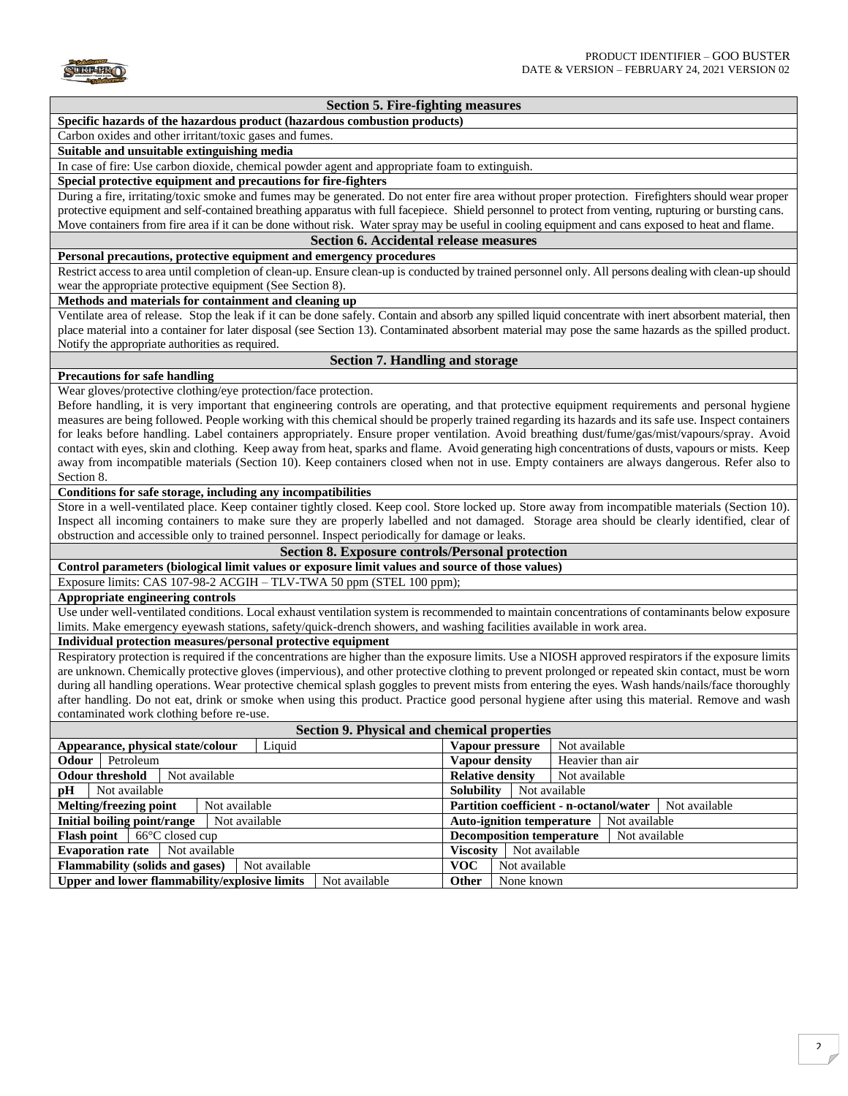

## **Section 5. Fire-fighting measures**

## **Specific hazards of the hazardous product (hazardous combustion products)**

## Carbon oxides and other irritant/toxic gases and fumes.

## **Suitable and unsuitable extinguishing media**

In case of fire: Use carbon dioxide, chemical powder agent and appropriate foam to extinguish.

#### **Special protective equipment and precautions for fire-fighters**

During a fire, irritating/toxic smoke and fumes may be generated. Do not enter fire area without proper protection. Firefighters should wear proper protective equipment and self-contained breathing apparatus with full facepiece. Shield personnel to protect from venting, rupturing or bursting cans. Move containers from fire area if it can be done without risk. Water spray may be useful in cooling equipment and cans exposed to heat and flame.

#### **Section 6. Accidental release measures**

#### **Personal precautions, protective equipment and emergency procedures**

Restrict access to area until completion of clean-up. Ensure clean-up is conducted by trained personnel only. All persons dealing with clean-up should wear the appropriate protective equipment (See Section 8).

#### **Methods and materials for containment and cleaning up**

Ventilate area of release. Stop the leak if it can be done safely. Contain and absorb any spilled liquid concentrate with inert absorbent material, then place material into a container for later disposal (see Section 13). Contaminated absorbent material may pose the same hazards as the spilled product. Notify the appropriate authorities as required.

## **Section 7. Handling and storage**

#### **Precautions for safe handling**

Wear gloves/protective clothing/eye protection/face protection.

Before handling, it is very important that engineering controls are operating, and that protective equipment requirements and personal hygiene measures are being followed. People working with this chemical should be properly trained regarding its hazards and its safe use. Inspect containers for leaks before handling. Label containers appropriately. Ensure proper ventilation. Avoid breathing dust/fume/gas/mist/vapours/spray. Avoid contact with eyes, skin and clothing. Keep away from heat, sparks and flame. Avoid generating high concentrations of dusts, vapours or mists. Keep away from incompatible materials (Section 10). Keep containers closed when not in use. Empty containers are always dangerous. Refer also to Section 8.

#### **Conditions for safe storage, including any incompatibilities**

Store in a well-ventilated place. Keep container tightly closed. Keep cool. Store locked up. Store away from incompatible materials (Section 10). Inspect all incoming containers to make sure they are properly labelled and not damaged. Storage area should be clearly identified, clear of obstruction and accessible only to trained personnel. Inspect periodically for damage or leaks.

**Section 8. Exposure controls/Personal protection**

# **Control parameters (biological limit values or exposure limit values and source of those values)**

Exposure limits: CAS 107-98-2 ACGIH – TLV-TWA 50 ppm (STEL 100 ppm);

## **Appropriate engineering controls**

Use under well-ventilated conditions. Local exhaust ventilation system is recommended to maintain concentrations of contaminants below exposure limits. Make emergency eyewash stations, safety/quick-drench showers, and washing facilities available in work area.

## **Individual protection measures/personal protective equipment**

Respiratory protection is required if the concentrations are higher than the exposure limits. Use a NIOSH approved respirators if the exposure limits are unknown. Chemically protective gloves (impervious), and other protective clothing to prevent prolonged or repeated skin contact, must be worn during all handling operations. Wear protective chemical splash goggles to prevent mists from entering the eyes. Wash hands/nails/face thoroughly after handling. Do not eat, drink or smoke when using this product. Practice good personal hygiene after using this material. Remove and wash contaminated work clothing before re-use.

| Section 9. Physical and chemical properties               |                                                |  |  |  |
|-----------------------------------------------------------|------------------------------------------------|--|--|--|
| Appearance, physical state/colour                         | Vapour pressure                                |  |  |  |
| Liquid                                                    | Not available                                  |  |  |  |
| Petroleum                                                 | Heavier than air                               |  |  |  |
| Odour                                                     | Vapour density                                 |  |  |  |
| <b>Odour threshold</b>                                    | <b>Relative density</b>                        |  |  |  |
| Not available                                             | Not available                                  |  |  |  |
| <b>Solubility</b><br>pH<br>Not available<br>Not available |                                                |  |  |  |
| <b>Melting/freezing point</b>                             | <b>Partition coefficient - n-octanol/water</b> |  |  |  |
| Not available                                             | Not available                                  |  |  |  |
| Initial boiling point/range                               | <b>Auto-ignition temperature</b>               |  |  |  |
| Not available                                             | Not available                                  |  |  |  |
| $66^{\circ}$ C closed cup                                 | <b>Decomposition temperature</b>               |  |  |  |
| <b>Flash point</b>                                        | Not available                                  |  |  |  |
| Not available                                             | Not available                                  |  |  |  |
| <b>Evaporation rate</b>                                   | <b>Viscosity</b>                               |  |  |  |
| <b>Flammability (solids and gases)</b>                    | <b>VOC</b>                                     |  |  |  |
| Not available                                             | Not available                                  |  |  |  |
| Upper and lower flammability/explosive limits             | <b>Other</b>                                   |  |  |  |
| Not available                                             | None known                                     |  |  |  |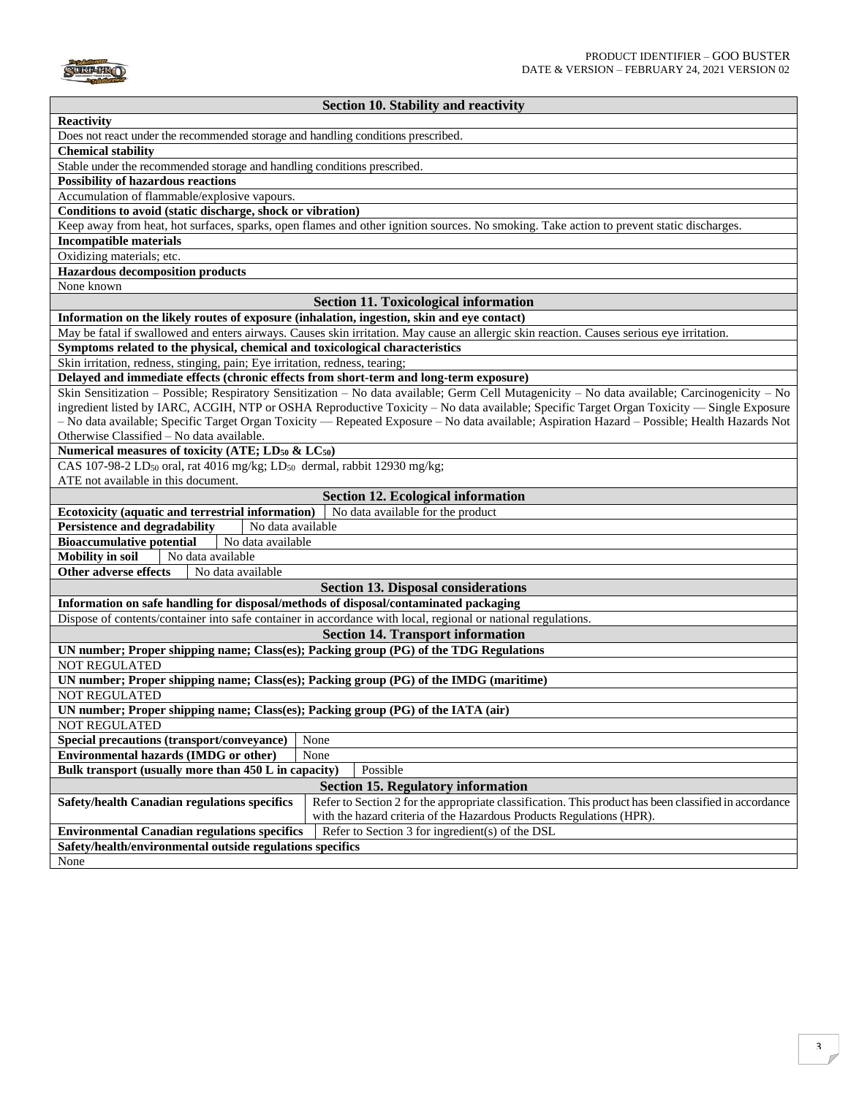

## **Section 10. Stability and reactivity**

| <b>Reactivity</b>                                                                                                                                            |  |  |  |
|--------------------------------------------------------------------------------------------------------------------------------------------------------------|--|--|--|
| Does not react under the recommended storage and handling conditions prescribed.                                                                             |  |  |  |
| <b>Chemical stability</b>                                                                                                                                    |  |  |  |
| Stable under the recommended storage and handling conditions prescribed.                                                                                     |  |  |  |
| <b>Possibility of hazardous reactions</b>                                                                                                                    |  |  |  |
| Accumulation of flammable/explosive vapours.                                                                                                                 |  |  |  |
| Conditions to avoid (static discharge, shock or vibration)                                                                                                   |  |  |  |
| Keep away from heat, hot surfaces, sparks, open flames and other ignition sources. No smoking. Take action to prevent static discharges.                     |  |  |  |
| <b>Incompatible materials</b>                                                                                                                                |  |  |  |
| Oxidizing materials; etc.                                                                                                                                    |  |  |  |
| <b>Hazardous decomposition products</b>                                                                                                                      |  |  |  |
| None known                                                                                                                                                   |  |  |  |
| <b>Section 11. Toxicological information</b>                                                                                                                 |  |  |  |
| Information on the likely routes of exposure (inhalation, ingestion, skin and eye contact)                                                                   |  |  |  |
| May be fatal if swallowed and enters airways. Causes skin irritation. May cause an allergic skin reaction. Causes serious eye irritation.                    |  |  |  |
|                                                                                                                                                              |  |  |  |
| Symptoms related to the physical, chemical and toxicological characteristics                                                                                 |  |  |  |
| Skin irritation, redness, stinging, pain; Eye irritation, redness, tearing;                                                                                  |  |  |  |
| Delayed and immediate effects (chronic effects from short-term and long-term exposure)                                                                       |  |  |  |
| Skin Sensitization – Possible; Respiratory Sensitization – No data available; Germ Cell Mutagenicity – No data available; Carcinogenicity – No               |  |  |  |
| ingredient listed by IARC, ACGIH, NTP or OSHA Reproductive Toxicity - No data available; Specific Target Organ Toxicity - Single Exposure                    |  |  |  |
| - No data available; Specific Target Organ Toxicity - Repeated Exposure - No data available; Aspiration Hazard - Possible; Health Hazards Not                |  |  |  |
| Otherwise Classified - No data available.                                                                                                                    |  |  |  |
| Numerical measures of toxicity (ATE; LD <sub>50</sub> & LC <sub>50</sub> )                                                                                   |  |  |  |
| CAS 107-98-2 LD <sub>50</sub> oral, rat 4016 mg/kg; LD <sub>50</sub> dermal, rabbit 12930 mg/kg;                                                             |  |  |  |
| ATE not available in this document.                                                                                                                          |  |  |  |
| <b>Section 12. Ecological information</b>                                                                                                                    |  |  |  |
| Ecotoxicity (aquatic and terrestrial information)<br>No data available for the product                                                                       |  |  |  |
| <b>Persistence and degradability</b><br>No data available                                                                                                    |  |  |  |
| <b>Bioaccumulative potential</b><br>No data available                                                                                                        |  |  |  |
| <b>Mobility in soil</b><br>No data available                                                                                                                 |  |  |  |
| <b>Other adverse effects</b><br>No data available                                                                                                            |  |  |  |
| <b>Section 13. Disposal considerations</b>                                                                                                                   |  |  |  |
| Information on safe handling for disposal/methods of disposal/contaminated packaging                                                                         |  |  |  |
| Dispose of contents/container into safe container in accordance with local, regional or national regulations.                                                |  |  |  |
| <b>Section 14. Transport information</b>                                                                                                                     |  |  |  |
| UN number; Proper shipping name; Class(es); Packing group (PG) of the TDG Regulations                                                                        |  |  |  |
| <b>NOT REGULATED</b>                                                                                                                                         |  |  |  |
| UN number; Proper shipping name; Class(es); Packing group (PG) of the IMDG (maritime)                                                                        |  |  |  |
| <b>NOT REGULATED</b>                                                                                                                                         |  |  |  |
| UN number; Proper shipping name; Class(es); Packing group (PG) of the IATA (air)                                                                             |  |  |  |
|                                                                                                                                                              |  |  |  |
| <b>NOT REGULATED</b>                                                                                                                                         |  |  |  |
| None<br>Special precautions (transport/conveyance)                                                                                                           |  |  |  |
| Environmental hazards (IMDG or other)<br>None                                                                                                                |  |  |  |
| Possible<br>Bulk transport (usually more than 450 L in capacity)                                                                                             |  |  |  |
| <b>Section 15. Regulatory information</b>                                                                                                                    |  |  |  |
| Refer to Section 2 for the appropriate classification. This product has been classified in accordance<br><b>Safety/health Canadian regulations specifics</b> |  |  |  |
| with the hazard criteria of the Hazardous Products Regulations (HPR).                                                                                        |  |  |  |
| Refer to Section 3 for ingredient(s) of the DSL<br><b>Environmental Canadian regulations specifics</b>                                                       |  |  |  |
| Safety/health/environmental outside regulations specifics                                                                                                    |  |  |  |
| None                                                                                                                                                         |  |  |  |